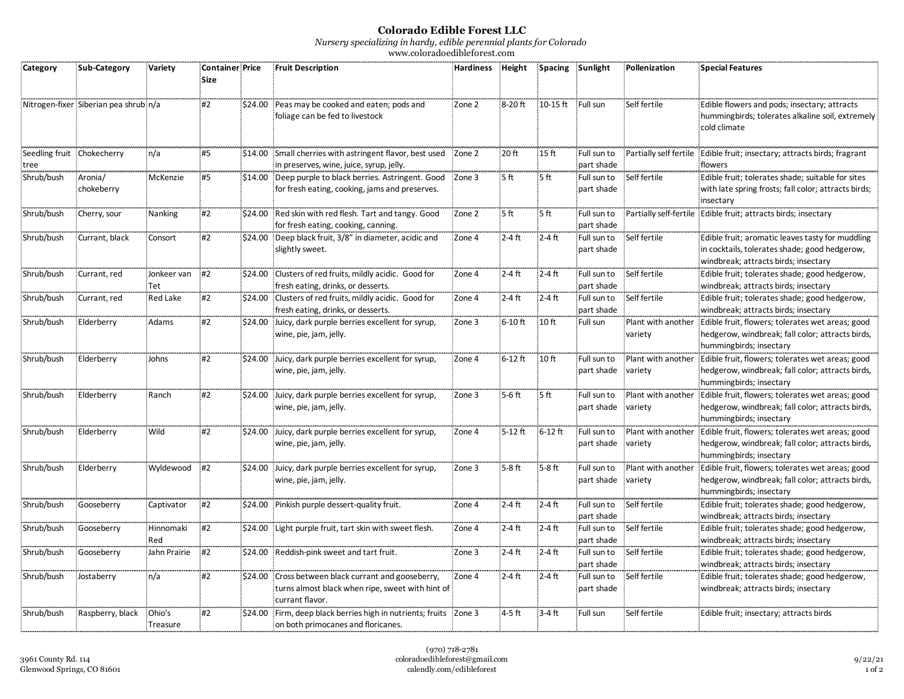## **Colorado Edible Forest LLC**

*Nursery specializing in hardy, edible perennial plants for Colorado*

www.coloradoedibleforest.com

| Category   | <b>Sub Category</b>                   | Variety            | <b>Container Price</b><br><b>Size</b> | <b>Fruit Description</b>                                                                                                   | <b>Hardiness</b> | Height    | <b>Spacing</b>    | Sunlight                  | Pollenization | <b>Special Features</b>                                                                                                                            |
|------------|---------------------------------------|--------------------|---------------------------------------|----------------------------------------------------------------------------------------------------------------------------|------------------|-----------|-------------------|---------------------------|---------------|----------------------------------------------------------------------------------------------------------------------------------------------------|
|            | Nitrogen-fixer Siberian pea shrub n/a |                    | #2                                    | \$24.00 Peas may be cooked and eaten; pods and<br>foliage can be fed to livestock                                          | Zone 2           | 8-20 ft   | 10-15 ft Full sun |                           | Self fertile  | Edible flowers and pods; insectary; attracts<br>hummingbirds; tolerates alkaline soil, extremely<br>cold climate                                   |
| tree       | Seedling fruit Chokecherry            | n/a                | #5                                    | \$14.00 Small cherries with astringent flavor, best used Zone 2<br>in preserves, wine, juice, syrup, jelly.                |                  | 20 ft     | 15 <sub>ft</sub>  | Full sun to<br>part shade |               | Partially self fertile Edible fruit; insectary; attracts birds; fragrant<br>flowers                                                                |
| Shrub/bush | Aronia/<br>chokeberry                 | McKenzie           | <b>#5</b>                             | \$14.00 Deep purple to black berries. Astringent. Good<br>for fresh eating, cooking, jams and preserves.                   | Zone 3           | 5ft       | 5 ft              | Full sun to<br>part shade | Self fertile  | Edible fruit; tolerates shade; suitable for sites<br>with late spring frosts; fall color; attracts birds;<br>insectary                             |
| Shrub/bush | Cherry, sour                          | Nanking            | #2                                    | \$24.00 Red skin with red flesh. Tart and tangy. Good<br>for fresh eating, cooking, canning.                               | Zone 2           | 5ft       | 5ft               | Full sun to<br>part shade |               | Partially self-fertile Edible fruit; attracts birds; insectary                                                                                     |
| Shrub/bush | Currant, black                        | Consort            | #2                                    | \$24.00 Deep black fruit, 3/8" in diameter, acidic and<br>slightly sweet.                                                  | Zone 4           | $2-4$ ft  | $2-4$ ft          | Full sun to<br>part shade | Self fertile  | Edible fruit; aromatic leaves tasty for muddling<br>in cocktails, tolerates shade; good hedgerow,<br>windbreak; attracts birds; insectary          |
| Shrub/bush | Currant, red                          | Jonkeer van<br>Tet | #2                                    | \$24.00 Clusters of red fruits, mildly acidic. Good for<br>fresh eating, drinks, or desserts.                              | Zone 4           | 2-4 ft    | $2-4$ ft          | Full sun to<br>part shade | Self fertile  | Edible fruit; tolerates shade; good hedgerow,<br>windbreak; attracts birds; insectary                                                              |
| Shrub/bush | Currant, red                          | Red Lake           | #2                                    | \$24.00 Clusters of red fruits, mildly acidic. Good for<br>fresh eating, drinks, or desserts.                              | Zone 4           | 2-4 ft    | $2-4$ ft          | Full sun to<br>part shade | Self fertile  | Edible fruit; tolerates shade; good hedgerow,<br>windbreak; attracts birds; insectary                                                              |
| Shrub/bush | Elderberry                            | Adams              | #2                                    | \$24.00 Juicy, dark purple berries excellent for syrup,<br>wine, pie, jam, jelly.                                          | Zone 3           | $6-10$ ft | 10 ft             | Full sun                  | variety       | Plant with another Edible fruit, flowers; tolerates wet areas; good<br>hedgerow, windbreak; fall color; attracts birds,<br>hummingbirds; insectary |
| Shrub/bush | Elderberry                            | Johns              | #2                                    | \$24.00 Juicy, dark purple berries excellent for syrup,<br>wine, pie, jam, jelly.                                          | Zone 4           | $6-12$ ft | 10 <sub>ft</sub>  | Full sun to<br>part shade | variety       | Plant with another Edible fruit, flowers; tolerates wet areas; good<br>hedgerow, windbreak; fall color; attracts birds,<br>hummingbirds; insectary |
| Shrub/bush | Elderberry                            | Ranch              | #2                                    | \$24.00 Juicy, dark purple berries excellent for syrup,<br>wine, pie, jam, jelly.                                          | Zone 3           | $5-6$ ft  | 5ft               | Full sun to<br>part shade | variety       | Plant with another Edible fruit, flowers; tolerates wet areas; good<br>hedgerow, windbreak; fall color; attracts birds,<br>hummingbirds; insectary |
| Shrub/bush | Elderberry                            | Wild               | #2                                    | \$24.00 Juicy, dark purple berries excellent for syrup,<br>wine, pie, jam, jelly.                                          | Zone 4           | $5-12$ ft | $6-12$ ft         | Full sun to<br>part shade | variety       | Plant with another Edible fruit, flowers; tolerates wet areas; good<br>hedgerow, windbreak; fall color; attracts birds,<br>hummingbirds; insectary |
| Shrub/bush | Elderberry                            | Wyldewood          | #2                                    | \$24.00 Juicy, dark purple berries excellent for syrup,<br>wine, pie, jam, jelly.                                          | Zone 3           | $5-8$ ft  | $5-8$ ft          | Full sun to<br>part shade | variety       | Plant with another Edible fruit, flowers; tolerates wet areas; good<br>hedgerow, windbreak; fall color; attracts birds,<br>hummingbirds; insectary |
| Shrub/bush | Gooseberry                            | Captivator         | #2                                    | \$24.00 Pinkish purple dessert-quality fruit.                                                                              | Zone 4           | $2-4$ ft  | $2-4$ ft          | Full sun to<br>part shade | Self fertile  | Edible fruit; tolerates shade; good hedgerow,<br>windbreak; attracts birds; insectary                                                              |
| Shrub/bush | Gooseberry                            | Hinnomaki<br>Red   | #2                                    | \$24.00 Light purple fruit, tart skin with sweet flesh.                                                                    | Zone 4           | $2-4$ ft  | $2-4$ ft          | Full sun to<br>part shade | Self fertile  | Edible fruit; tolerates shade; good hedgerow,<br>windbreak; attracts birds; insectary                                                              |
| Shrub/bush | Gooseberry                            | Jahn Prairie       | #2                                    | \$24.00 Reddish-pink sweet and tart fruit.                                                                                 | Zone 3           | $2-4$ ft  | $2-4$ ft          | Full sun to<br>part shade | Self fertile  | Edible fruit; tolerates shade; good hedgerow,<br>windbreak; attracts birds; insectary                                                              |
| Shrub/bush | Jostaberry                            | n/a                | #2                                    | \$24.00 Cross between black currant and gooseberry,<br>turns almost black when ripe, sweet with hint of<br>currant flavor. | Zone 4           | $2-4$ ft  | $2-4$ ft          | Full sun to<br>part shade | Self fertile  | Edible fruit; tolerates shade; good hedgerow,<br>windbreak; attracts birds; insectary                                                              |
| Shrub/bush | Raspberry, black                      | Ohio's<br>Treasure | #2                                    | \$24.00 Firm, deep black berries high in nutrients; fruits Zone 3<br>on both primocanes and floricanes.                    |                  | 4-5 ft    | $3-4$ ft          | Full sun                  | Self fertile  | Edible fruit; insectary; attracts birds                                                                                                            |